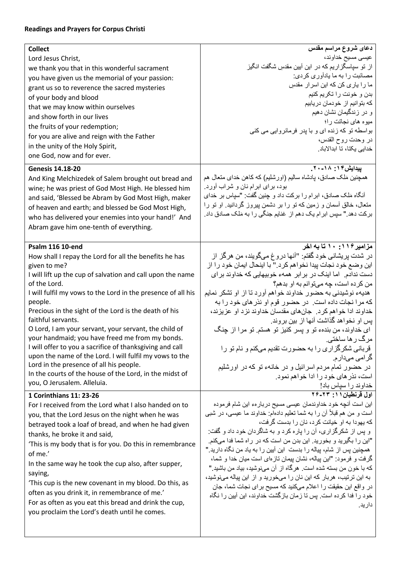## **Readings and Prayers for Corpus Christi**

| <b>Collect</b>                                               | دعای شروع مراسم مقدس                                                |
|--------------------------------------------------------------|---------------------------------------------------------------------|
| Lord Jesus Christ,                                           | عیسی مسیح خداوند،                                                   |
| we thank you that in this wonderful sacrament                | از تو سپاسگزاریم که در این آبین مقدسِ شگفت انگیز                    |
| you have given us the memorial of your passion:              | مصائبت را به ما يادآوري كردي:                                       |
| grant us so to reverence the sacred mysteries                | ما را پاری کن که این اسرار مقدس                                     |
| of your body and blood                                       | بدن و خونت را تكريم كنيم                                            |
| that we may know within ourselves                            | كه بتوانيم از خودمان دريابيم                                        |
| and show forth in our lives                                  | و در زندگیمان نشان دهیم                                             |
|                                                              | میوه های نجاتت را؛                                                  |
| the fruits of your redemption;                               | بواسطه تو که زنده ای و با پدر فرمانروایی می کنی                     |
| for you are alive and reign with the Father                  | در وحدت روح القدس،                                                  |
| in the unity of the Holy Spirit,                             | خدایی یکتا، تا ابدالاباد                                            |
| one God, now and for ever.                                   |                                                                     |
| <b>Genesis 14.18-20</b>                                      | ییدایش۴۰ : ۲۰-۲۰                                                    |
| And King Melchizedek of Salem brought out bread and          | همچنین مَلک صادق، پادشاه سالیم (اورشلیم) که کاهن خدای متعال هم      |
|                                                              | بود، برای ابرام نان و شراب آورد.                                    |
| wine; he was priest of God Most High. He blessed him         | آنگاه مَلک صادق، ابرام را برکت داد و چنین گفت: "سپاس بر خدای        |
| and said, 'Blessed be Abram by God Most High, maker          | متعال، خالق أسمان و زمین که تو را بر دشمن پیروز گردانید. او تو را   |
| of heaven and earth; and blessed be God Most High,           |                                                                     |
| who has delivered your enemies into your hand!' And          | برکت دهد " سپس ابرام یک دهم از غنایم جنگی را به مَلک صادق داد.      |
| Abram gave him one-tenth of everything.                      |                                                                     |
|                                                              |                                                                     |
| <b>Psalm 116 10-end</b>                                      | مزامیر ۱۱۶: ۱۰ تا به اخر                                            |
| How shall I repay the Lord for all the benefits he has       | در شدت پریشانی خود گفتم: "أنها دروغ میگویند، من هرگز از             |
| given to me?                                                 | این وضع خود نجات پیدا نخواهم کرد." با اینحال ایمان خود را از        |
| I will lift up the cup of salvation and call upon the name   | دست ندادم. اما اینک در بر ابر همهء خوبیهایی که خداوند برای          |
| of the Lord.                                                 |                                                                     |
|                                                              | من كرده است، چه مىتوانم به او بدهم؟                                 |
| I will fulfil my vows to the Lord in the presence of all his | هدیهء نوشیدنی به حضور خداوند خواهم آورد تا از او تشکر نمایم         |
| people.                                                      | كه مرا نجات داده است. در حضور قوم او نذر هاى خود را به              |
| Precious in the sight of the Lord is the death of his        | خداوند ادا خواهم كرد. جانهاى مقدسان خداوند نزد او عزيزند،           |
| faithful servants.                                           | یس او نخواهد گذاشت آنها از بین بروند.                               |
| O Lord, I am your servant, your servant, the child of        | ای خداوند، من بندهء تو و پسر کنیز تو هستم تو مرا از چنگ             |
| your handmaid; you have freed me from my bonds.              | مرگ ر ها ساختی.                                                     |
| I will offer to you a sacrifice of thanksgiving and call     | قربانی شکرگزاری را به حضورت تقدیم میکنم و نام تو را                 |
| upon the name of the Lord. I will fulfil my vows to the      | گر ا <i>می می</i> دارم.                                             |
| Lord in the presence of all his people.                      | در حضور تمام مردم اسرائیل و در خانهء تو که در اورشلیم               |
| In the courts of the house of the Lord, in the midst of      | است، نذر های خود را ادا خواهم نمود.                                 |
| you, O Jerusalem. Alleluia.                                  |                                                                     |
| 1 Corinthians 11: 23-26                                      | خداوند را سپاس باد!<br>ا <b>ول قرنطیان ۱۱: ۲۴-۲۶</b>                |
| For I received from the Lord what I also handed on to        | این است آنچه خود خداوندمان عیسی مسیح دربارهء این شام فرموده         |
| you, that the Lord Jesus on the night when he was            | است و من هم قبلاً أن را به شما تعليم دادهام: خداوند ما عيسى، در شبي |
|                                                              | که یهو دا به او خیانت کر د، نان ر ا بدست گر فت،                     |
| betrayed took a loaf of bread, and when he had given         | و پس از شکرگزاری، آن را پاره کرد و به شاگردان خود داد و گفت:        |
| thanks, he broke it and said,                                | "این را بگیرید و بخورید. این بدن من است که در راه شما فدا میکنم.    |
| 'This is my body that is for you. Do this in remembrance     | همچنین پس از شام، بیاله را بدست این آیین را به یاد من نگاه دارید "  |
| of me.'                                                      | گرفت و فرمود: "این بیاله، نشان بیمان تاز های است میان خدا و شما،    |
| In the same way he took the cup also, after supper,          | كه با خون من بسته شده است. هرگاه از آن مىنوشید، بیاد من باشید "     |
| saying,                                                      |                                                                     |
| 'This cup is the new covenant in my blood. Do this, as       | به این ترتیب، هربار که این نان را میخورید و از این بیاله مینوشید،   |
| often as you drink it, in remembrance of me.'                | در واقع این حقیقت را اعلام میکنید که مسیح برای نجات شما، جان        |
| For as often as you eat this bread and drink the cup,        | خود را فدا كرده است. پس تا زمان بازگشت خداوند، این آبین را نگاه     |
| you proclaim the Lord's death until he comes.                | دار يد.                                                             |
|                                                              |                                                                     |
|                                                              |                                                                     |